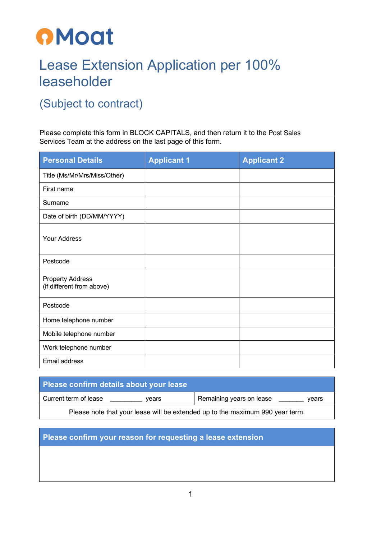

## Lease Extension Application per 100% leaseholder

## (Subject to contract)

Please complete this form in BLOCK CAPITALS, and then return it to the Post Sales Services Team at the address on the last page of this form.

| <b>Personal Details</b>                              | <b>Applicant 1</b> | <b>Applicant 2</b> |
|------------------------------------------------------|--------------------|--------------------|
| Title (Ms/Mr/Mrs/Miss/Other)                         |                    |                    |
| First name                                           |                    |                    |
| Surname                                              |                    |                    |
| Date of birth (DD/MM/YYYY)                           |                    |                    |
| <b>Your Address</b>                                  |                    |                    |
| Postcode                                             |                    |                    |
| <b>Property Address</b><br>(if different from above) |                    |                    |
| Postcode                                             |                    |                    |
| Home telephone number                                |                    |                    |
| Mobile telephone number                              |                    |                    |
| Work telephone number                                |                    |                    |
| Email address                                        |                    |                    |

| Please confirm details about your lease                                       |                                   |  |  |
|-------------------------------------------------------------------------------|-----------------------------------|--|--|
| Current term of lease<br>vears                                                | Remaining years on lease<br>vears |  |  |
| Please note that your lease will be extended up to the maximum 990 year term. |                                   |  |  |

## **Please confirm your reason for requesting a lease extension**